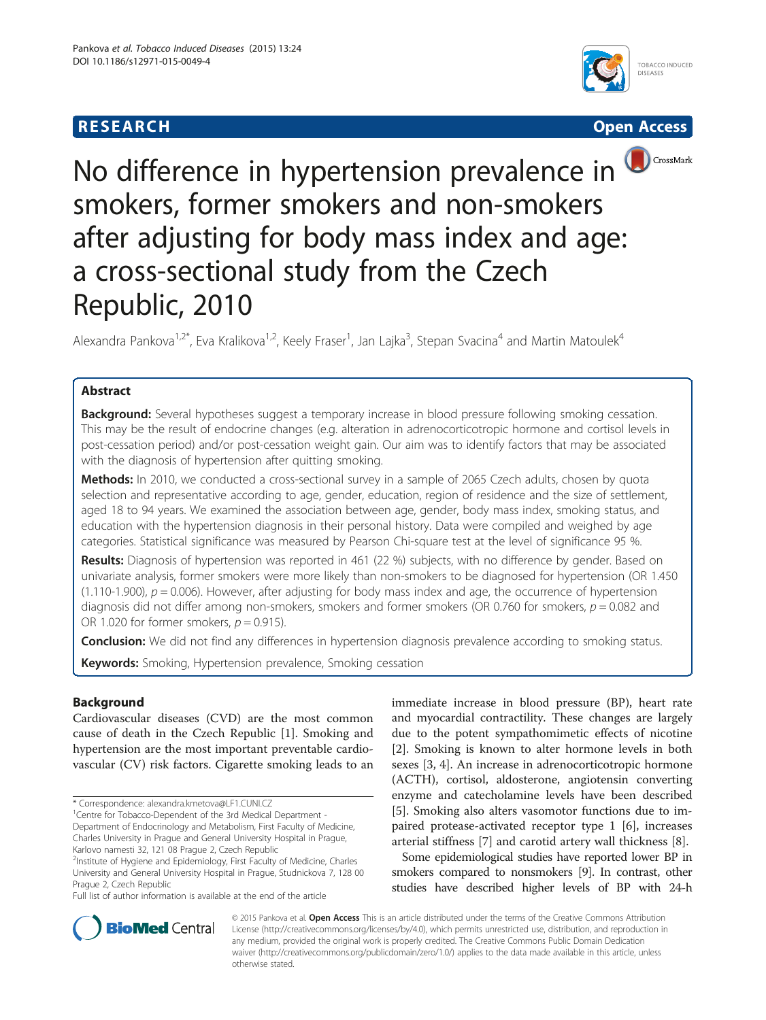# **RESEARCH CHE CHE Open Access**







No difference in hypertension prevalence in smokers, former smokers and non-smokers after adjusting for body mass index and age: a cross-sectional study from the Czech Republic, 2010

Alexandra Pankova<sup>1,2\*</sup>, Eva Kralikova<sup>1,2</sup>, Keely Fraser<sup>1</sup>, Jan Lajka<sup>3</sup>, Stepan Svacina<sup>4</sup> and Martin Matoulek<sup>4</sup>

## Abstract

**Background:** Several hypotheses suggest a temporary increase in blood pressure following smoking cessation. This may be the result of endocrine changes (e.g. alteration in adrenocorticotropic hormone and cortisol levels in post-cessation period) and/or post-cessation weight gain. Our aim was to identify factors that may be associated with the diagnosis of hypertension after quitting smoking.

Methods: In 2010, we conducted a cross-sectional survey in a sample of 2065 Czech adults, chosen by quota selection and representative according to age, gender, education, region of residence and the size of settlement, aged 18 to 94 years. We examined the association between age, gender, body mass index, smoking status, and education with the hypertension diagnosis in their personal history. Data were compiled and weighed by age categories. Statistical significance was measured by Pearson Chi-square test at the level of significance 95 %.

Results: Diagnosis of hypertension was reported in 461 (22 %) subjects, with no difference by gender. Based on univariate analysis, former smokers were more likely than non-smokers to be diagnosed for hypertension (OR 1.450 (1.110-1.900),  $p = 0.006$ ). However, after adjusting for body mass index and age, the occurrence of hypertension diagnosis did not differ among non-smokers, smokers and former smokers (OR 0.760 for smokers,  $p = 0.082$  and OR 1.020 for former smokers,  $p = 0.915$ ).

**Conclusion:** We did not find any differences in hypertension diagnosis prevalence according to smoking status.

Keywords: Smoking, Hypertension prevalence, Smoking cessation

## Background

Cardiovascular diseases (CVD) are the most common cause of death in the Czech Republic [[1](#page-5-0)]. Smoking and hypertension are the most important preventable cardiovascular (CV) risk factors. Cigarette smoking leads to an

<sup>2</sup>Institute of Hygiene and Epidemiology, First Faculty of Medicine, Charles University and General University Hospital in Prague, Studnickova 7, 128 00 Prague 2, Czech Republic

Full list of author information is available at the end of the article

immediate increase in blood pressure (BP), heart rate and myocardial contractility. These changes are largely due to the potent sympathomimetic effects of nicotine [[2\]](#page-5-0). Smoking is known to alter hormone levels in both sexes [\[3, 4\]](#page-5-0). An increase in adrenocorticotropic hormone (ACTH), cortisol, aldosterone, angiotensin converting enzyme and catecholamine levels have been described [[5\]](#page-5-0). Smoking also alters vasomotor functions due to impaired protease-activated receptor type 1 [[6\]](#page-5-0), increases arterial stiffness [\[7](#page-5-0)] and carotid artery wall thickness [\[8](#page-5-0)].

Some epidemiological studies have reported lower BP in smokers compared to nonsmokers [[9](#page-5-0)]. In contrast, other studies have described higher levels of BP with 24-h



© 2015 Pankova et al. Open Access This is an article distributed under the terms of the Creative Commons Attribution License [\(http://creativecommons.org/licenses/by/4.0](http://creativecommons.org/licenses/by/4.0)), which permits unrestricted use, distribution, and reproduction in any medium, provided the original work is properly credited. The Creative Commons Public Domain Dedication waiver ([http://creativecommons.org/publicdomain/zero/1.0/\)](http://creativecommons.org/publicdomain/zero/1.0/) applies to the data made available in this article, unless otherwise stated.

<sup>\*</sup> Correspondence: [alexandra.kmetova@LF1.CUNI.CZ](mailto:alexandra.kmetova@LF1.CUNI.CZ) <sup>1</sup>

<sup>&</sup>lt;sup>1</sup> Centre for Tobacco-Dependent of the 3rd Medical Department -Department of Endocrinology and Metabolism, First Faculty of Medicine, Charles University in Prague and General University Hospital in Prague, Karlovo namesti 32, 121 08 Prague 2, Czech Republic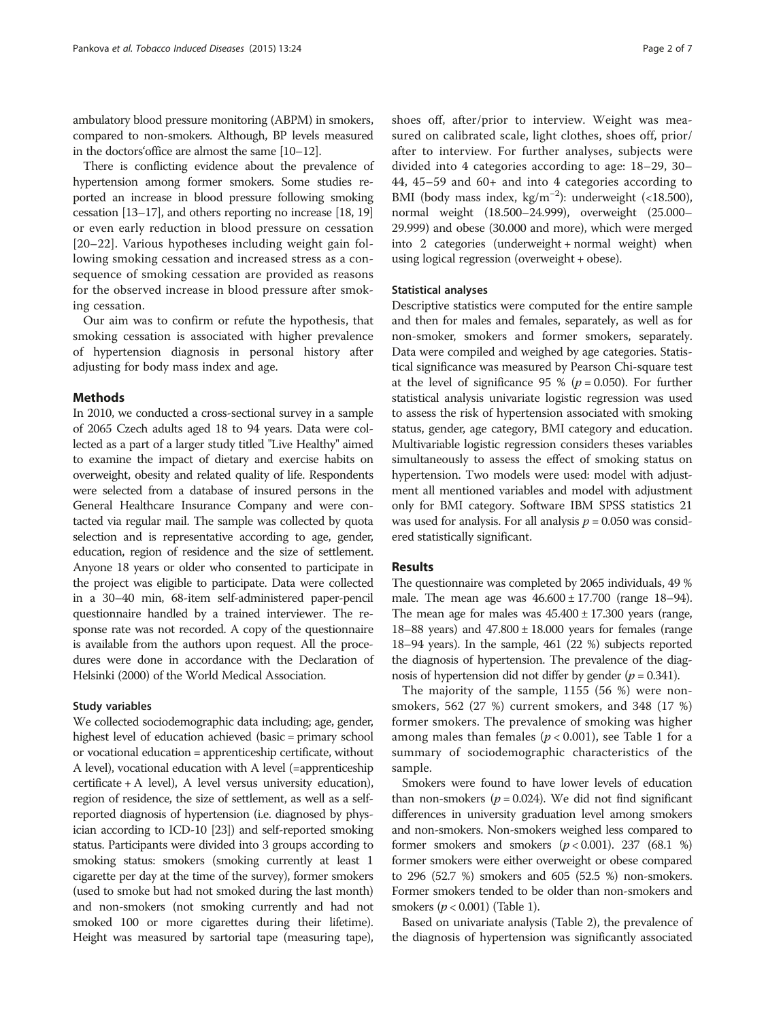ambulatory blood pressure monitoring (ABPM) in smokers, compared to non-smokers. Although, BP levels measured in the doctors'office are almost the same [\[10](#page-5-0)–[12\]](#page-5-0).

There is conflicting evidence about the prevalence of hypertension among former smokers. Some studies reported an increase in blood pressure following smoking cessation [[13](#page-5-0)–[17](#page-5-0)], and others reporting no increase [[18](#page-5-0), [19](#page-5-0)] or even early reduction in blood pressure on cessation [[20](#page-5-0)–[22](#page-5-0)]. Various hypotheses including weight gain following smoking cessation and increased stress as a consequence of smoking cessation are provided as reasons for the observed increase in blood pressure after smoking cessation.

Our aim was to confirm or refute the hypothesis, that smoking cessation is associated with higher prevalence of hypertension diagnosis in personal history after adjusting for body mass index and age.

## Methods

In 2010, we conducted a cross-sectional survey in a sample of 2065 Czech adults aged 18 to 94 years. Data were collected as a part of a larger study titled "Live Healthy" aimed to examine the impact of dietary and exercise habits on overweight, obesity and related quality of life. Respondents were selected from a database of insured persons in the General Healthcare Insurance Company and were contacted via regular mail. The sample was collected by quota selection and is representative according to age, gender, education, region of residence and the size of settlement. Anyone 18 years or older who consented to participate in the project was eligible to participate. Data were collected in a 30–40 min, 68-item self-administered paper-pencil questionnaire handled by a trained interviewer. The response rate was not recorded. A copy of the questionnaire is available from the authors upon request. All the procedures were done in accordance with the Declaration of Helsinki (2000) of the World Medical Association.

## Study variables

We collected sociodemographic data including; age, gender, highest level of education achieved (basic = primary school or vocational education = apprenticeship certificate, without A level), vocational education with A level (=apprenticeship certificate + A level), A level versus university education), region of residence, the size of settlement, as well as a selfreported diagnosis of hypertension (i.e. diagnosed by physician according to ICD-10 [\[23\]](#page-5-0)) and self-reported smoking status. Participants were divided into 3 groups according to smoking status: smokers (smoking currently at least 1 cigarette per day at the time of the survey), former smokers (used to smoke but had not smoked during the last month) and non-smokers (not smoking currently and had not smoked 100 or more cigarettes during their lifetime). Height was measured by sartorial tape (measuring tape),

shoes off, after/prior to interview. Weight was measured on calibrated scale, light clothes, shoes off, prior/ after to interview. For further analyses, subjects were divided into 4 categories according to age: 18–29, 30– 44, 45–59 and 60+ and into 4 categories according to BMI (body mass index, kg/m−<sup>2</sup> ): underweight (<18.500), normal weight (18.500–24.999), overweight (25.000– 29.999) and obese (30.000 and more), which were merged into 2 categories (underweight + normal weight) when using logical regression (overweight + obese).

## Statistical analyses

Descriptive statistics were computed for the entire sample and then for males and females, separately, as well as for non-smoker, smokers and former smokers, separately. Data were compiled and weighed by age categories. Statistical significance was measured by Pearson Chi-square test at the level of significance 95 % ( $p = 0.050$ ). For further statistical analysis univariate logistic regression was used to assess the risk of hypertension associated with smoking status, gender, age category, BMI category and education. Multivariable logistic regression considers theses variables simultaneously to assess the effect of smoking status on hypertension. Two models were used: model with adjustment all mentioned variables and model with adjustment only for BMI category. Software IBM SPSS statistics 21 was used for analysis. For all analysis  $p = 0.050$  was considered statistically significant.

## Results

The questionnaire was completed by 2065 individuals, 49 % male. The mean age was  $46.600 \pm 17.700$  (range 18–94). The mean age for males was  $45.400 \pm 17.300$  years (range, 18–88 years) and  $47.800 \pm 18.000$  years for females (range 18–94 years). In the sample, 461 (22 %) subjects reported the diagnosis of hypertension. The prevalence of the diagnosis of hypertension did not differ by gender ( $p = 0.341$ ).

The majority of the sample, 1155 (56 %) were nonsmokers, 562 (27 %) current smokers, and 348 (17 %) former smokers. The prevalence of smoking was higher among males than females ( $p < 0.001$ ), see Table [1](#page-2-0) for a summary of sociodemographic characteristics of the sample.

Smokers were found to have lower levels of education than non-smokers ( $p = 0.024$ ). We did not find significant differences in university graduation level among smokers and non-smokers. Non-smokers weighed less compared to former smokers and smokers  $(p < 0.001)$ . 237 (68.1 %) former smokers were either overweight or obese compared to 296 (52.7 %) smokers and 605 (52.5 %) non-smokers. Former smokers tended to be older than non-smokers and smokers  $(p < 0.001)$  (Table [1\)](#page-2-0).

Based on univariate analysis (Table [2](#page-3-0)), the prevalence of the diagnosis of hypertension was significantly associated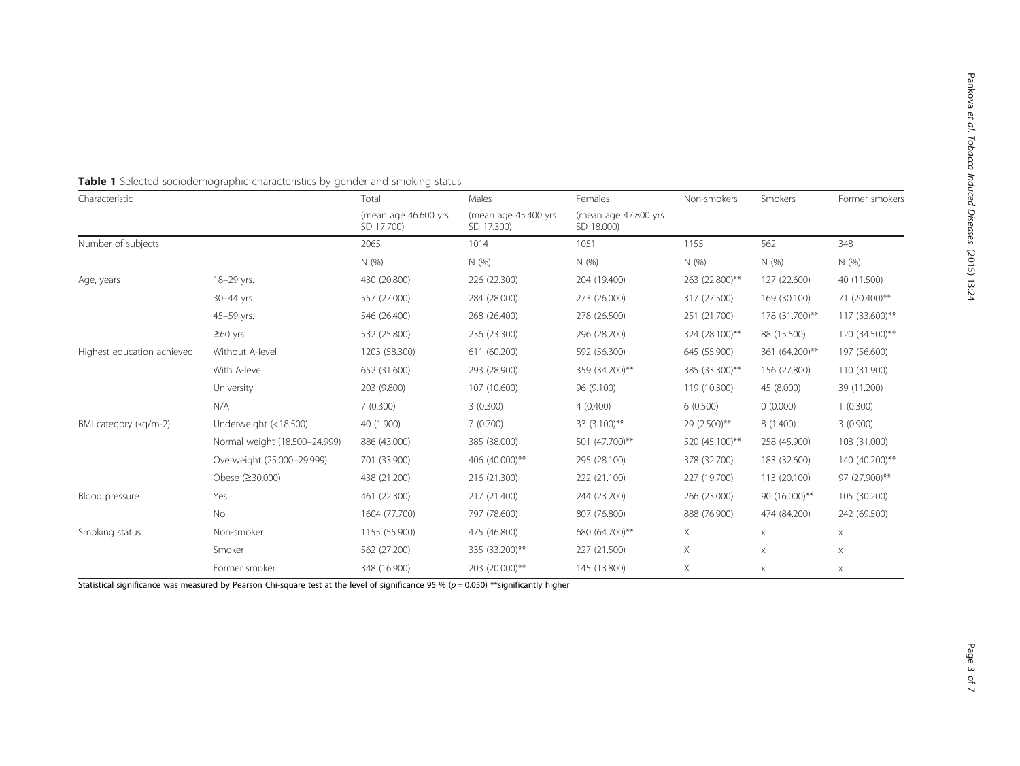| Characteristic             |                               | Total                              | Males                              | Females                            | Non-smokers    | Smokers        | Former smokers        |  |
|----------------------------|-------------------------------|------------------------------------|------------------------------------|------------------------------------|----------------|----------------|-----------------------|--|
|                            |                               | (mean age 46.600 yrs<br>SD 17.700) | (mean age 45.400 yrs<br>SD 17.300) | (mean age 47.800 yrs<br>SD 18.000) |                |                |                       |  |
| Number of subjects         |                               | 2065                               | 1014                               | 1051                               | 1155           | 562            | 348                   |  |
|                            |                               | N(%)                               | N(%                                | N(% )                              | N(%)           | N(%)           | N(%)                  |  |
| Age, years                 | 18-29 yrs.                    | 430 (20.800)                       | 226 (22.300)                       | 204 (19.400)                       | 263 (22.800)** | 127 (22.600)   | 40 (11.500)           |  |
|                            | 30-44 yrs.                    | 557 (27.000)                       | 284 (28.000)                       | 273 (26.000)                       | 317 (27.500)   | 169 (30.100)   | 71 (20.400)**         |  |
|                            | 45-59 yrs.                    | 546 (26.400)                       | 268 (26.400)                       | 278 (26.500)                       | 251 (21.700)   | 178 (31.700)** | 117 (33.600)**        |  |
|                            | $\geq 60$ yrs.                | 532 (25.800)                       | 236 (23.300)                       | 296 (28.200)                       | 324 (28.100)** | 88 (15.500)    | 120 (34.500)**        |  |
| Highest education achieved | Without A-level               | 1203 (58.300)                      | 611 (60.200)                       | 592 (56.300)                       | 645 (55.900)   | 361 (64.200)** | 197 (56.600)          |  |
|                            | With A-level                  | 652 (31.600)                       | 293 (28.900)                       | 359 (34.200)**                     | 385 (33.300)** | 156 (27.800)   | 110 (31.900)          |  |
|                            | University                    | 203 (9.800)                        | 107 (10.600)                       | 96 (9.100)                         | 119 (10.300)   | 45 (8.000)     | 39 (11.200)           |  |
|                            | N/A                           | 7(0.300)                           | 3(0.300)                           | 4(0.400)                           | 6(0.500)       | 0(0.000)       | 1(0.300)              |  |
| BMI category (kg/m-2)      | Underweight (<18.500)         | 40 (1.900)                         | 7(0.700)                           | 33 (3.100)**                       | 29 (2.500)**   | 8 (1.400)      | 3(0.900)              |  |
|                            | Normal weight (18.500-24.999) | 886 (43.000)                       | 385 (38.000)                       | 501 (47.700)**                     | 520 (45.100)** | 258 (45.900)   | 108 (31.000)          |  |
|                            | Overweight (25.000-29.999)    | 701 (33.900)                       | 406 (40.000)**                     | 295 (28.100)                       | 378 (32.700)   | 183 (32.600)   | 140 (40.200)**        |  |
|                            | Obese (≥30.000)               | 438 (21.200)                       | 216 (21.300)                       | 222 (21.100)                       | 227 (19.700)   | 113 (20.100)   | 97 (27.900)**         |  |
| Blood pressure             | Yes                           | 461 (22.300)                       | 217 (21.400)                       | 244 (23.200)                       | 266 (23.000)   | 90 (16.000)**  | 105 (30.200)          |  |
|                            | No                            | 1604 (77.700)                      | 797 (78.600)                       | 807 (76.800)                       | 888 (76.900)   | 474 (84.200)   | 242 (69.500)          |  |
| Smoking status             | Non-smoker                    | 1155 (55.900)                      | 475 (46.800)                       | 680 (64.700)**                     | Χ              | $\times$       | $\mathsf X$           |  |
|                            | Smoker                        | 562 (27.200)                       | 335 (33.200)**                     | 227 (21.500)                       | Χ              | X              | $\mathsf X$           |  |
|                            | Former smoker                 | 348 (16.900)                       | 203 (20.000)**                     | 145 (13.800)                       | Χ              | $\times$       | $\boldsymbol{\times}$ |  |

<span id="page-2-0"></span>

|  |  |  |  |  | Table 1 Selected sociodemographic characteristics by gender and smoking status |
|--|--|--|--|--|--------------------------------------------------------------------------------|
|--|--|--|--|--|--------------------------------------------------------------------------------|

Statistical significance was measured by Pearson Chi-square test at the level of significance 95 % ( $p = 0.050$ ) \*\*significantly higher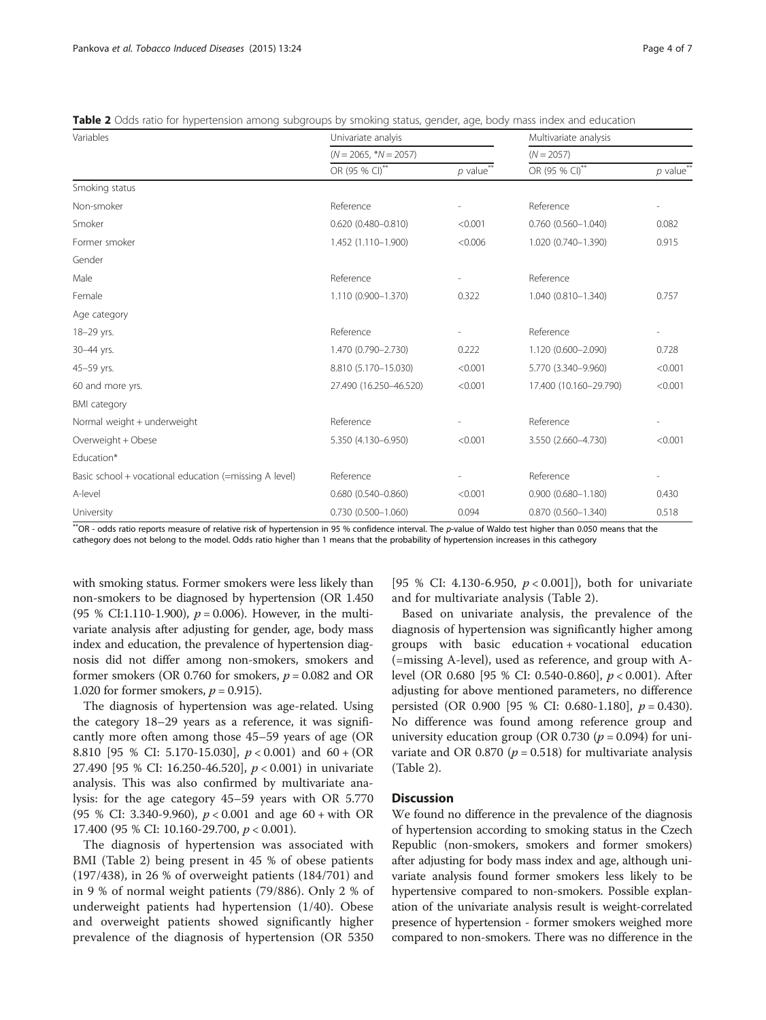| Variables                                              | Univariate analyis      |            | Multivariate analysis        |                          |  |  |  |
|--------------------------------------------------------|-------------------------|------------|------------------------------|--------------------------|--|--|--|
|                                                        | $(N = 2065, *N = 2057)$ |            | $(N = 2057)$                 |                          |  |  |  |
|                                                        | OR (95 % CI)**          | $p$ value" | OR (95 % CI) <sup>**</sup>   | $p$ value <sup>**</sup>  |  |  |  |
| Smoking status                                         |                         |            |                              |                          |  |  |  |
| Non-smoker                                             | Reference               |            | Reference                    | $\overline{a}$           |  |  |  |
| Smoker                                                 | $0.620(0.480 - 0.810)$  | < 0.001    | $0.760(0.560 - 1.040)$       | 0.082                    |  |  |  |
| Former smoker                                          | 1.452 (1.110-1.900)     | < 0.006    | 1.020 (0.740-1.390)          | 0.915                    |  |  |  |
| Gender                                                 |                         |            |                              |                          |  |  |  |
| Male                                                   | Reference               |            | Reference                    |                          |  |  |  |
| Female                                                 | 1.110 (0.900-1.370)     | 0.322      | 1.040 (0.810-1.340)          | 0.757                    |  |  |  |
| Age category                                           |                         |            |                              |                          |  |  |  |
| 18-29 yrs.                                             | Reference               |            | Reference                    | $\overline{\phantom{a}}$ |  |  |  |
| 30-44 yrs.                                             | 1.470 (0.790-2.730)     | 0.222      | 1.120 (0.600-2.090)          | 0.728                    |  |  |  |
| 45-59 yrs.                                             | 8.810 (5.170-15.030)    | < 0.001    | 5.770 (3.340-9.960)          | < 0.001                  |  |  |  |
| 60 and more yrs.                                       | 27.490 (16.250-46.520)  | < 0.001    | 17.400 (10.160-29.790)       | < 0.001                  |  |  |  |
| <b>BMI</b> category                                    |                         |            |                              |                          |  |  |  |
| Normal weight + underweight                            | Reference               |            | Reference                    | $\overline{\phantom{0}}$ |  |  |  |
| Overweight + Obese                                     | 5.350 (4.130-6.950)     | < 0.001    | 3.550 (2.660-4.730)          | < 0.001                  |  |  |  |
| Education*                                             |                         |            |                              |                          |  |  |  |
| Basic school + vocational education (=missing A level) | Reference               |            | Reference                    | L                        |  |  |  |
| A-level                                                | $0.680(0.540 - 0.860)$  | < 0.001    | $0.900(0.680 - 1.180)$       | 0.430                    |  |  |  |
| University                                             | 0.730 (0.500-1.060)     | 0.094      | 0.870 (0.560-1.340)<br>0.518 |                          |  |  |  |

<span id="page-3-0"></span>

|  |  |  |  |  |  |  | <b>Table 2</b> Odds ratio for hypertension among subgroups by smoking status, gender, age, body mass index and education |  |  |  |  |  |  |  |  |  |  |  |  |  |  |
|--|--|--|--|--|--|--|--------------------------------------------------------------------------------------------------------------------------|--|--|--|--|--|--|--|--|--|--|--|--|--|--|
|--|--|--|--|--|--|--|--------------------------------------------------------------------------------------------------------------------------|--|--|--|--|--|--|--|--|--|--|--|--|--|--|

\*\*OR - odds ratio reports measure of relative risk of hypertension in 95 % confidence interval. The p-value of Waldo test higher than 0.050 means that the cathegory does not belong to the model. Odds ratio higher than 1 means that the probability of hypertension increases in this cathegory

with smoking status. Former smokers were less likely than non-smokers to be diagnosed by hypertension (OR 1.450 (95 % CI:1.110-1.900),  $p = 0.006$ ). However, in the multivariate analysis after adjusting for gender, age, body mass index and education, the prevalence of hypertension diagnosis did not differ among non-smokers, smokers and former smokers (OR 0.760 for smokers,  $p = 0.082$  and OR 1.020 for former smokers,  $p = 0.915$ ).

The diagnosis of hypertension was age-related. Using the category 18–29 years as a reference, it was significantly more often among those 45–59 years of age (OR 8.810 [95 % CI: 5.170-15.030], p < 0.001) and 60 + (OR 27.490 [95 % CI: 16.250-46.520], p < 0.001) in univariate analysis. This was also confirmed by multivariate analysis: for the age category 45–59 years with OR 5.770 (95 % CI: 3.340-9.960),  $p < 0.001$  and age 60 + with OR 17.400 (95 % CI: 10.160-29.700, p < 0.001).

The diagnosis of hypertension was associated with BMI (Table 2) being present in 45 % of obese patients (197/438), in 26 % of overweight patients (184/701) and in 9 % of normal weight patients (79/886). Only 2 % of underweight patients had hypertension (1/40). Obese and overweight patients showed significantly higher prevalence of the diagnosis of hypertension (OR 5350

[95 % CI: 4.130-6.950,  $p < 0.001$ ]), both for univariate and for multivariate analysis (Table 2).

Based on univariate analysis, the prevalence of the diagnosis of hypertension was significantly higher among groups with basic education + vocational education (=missing A-level), used as reference, and group with Alevel (OR 0.680 [95 % CI: 0.540-0.860], p < 0.001). After adjusting for above mentioned parameters, no difference persisted (OR 0.900 [95 % CI: 0.680-1.180],  $p = 0.430$ ). No difference was found among reference group and university education group (OR 0.730 ( $p = 0.094$ ) for univariate and OR 0.870 ( $p = 0.518$ ) for multivariate analysis (Table 2).

## **Discussion**

We found no difference in the prevalence of the diagnosis of hypertension according to smoking status in the Czech Republic (non-smokers, smokers and former smokers) after adjusting for body mass index and age, although univariate analysis found former smokers less likely to be hypertensive compared to non-smokers. Possible explanation of the univariate analysis result is weight-correlated presence of hypertension - former smokers weighed more compared to non-smokers. There was no difference in the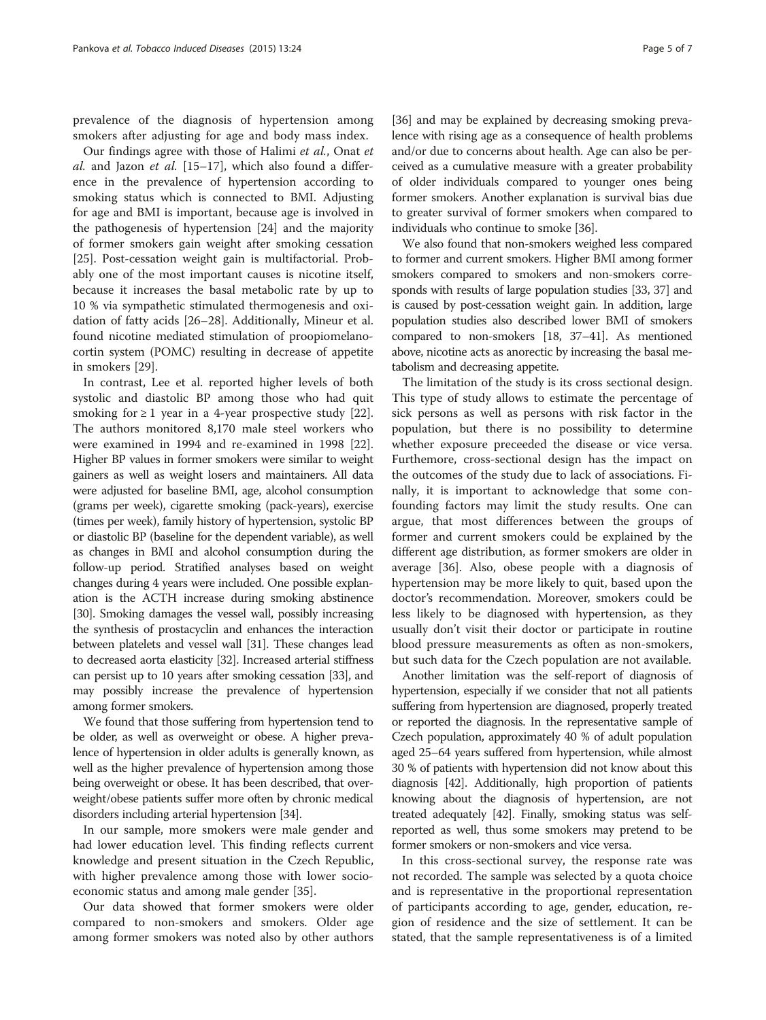prevalence of the diagnosis of hypertension among smokers after adjusting for age and body mass index.

Our findings agree with those of Halimi et al., Onat et al. and Jazon et al.  $[15-17]$  $[15-17]$  $[15-17]$ , which also found a difference in the prevalence of hypertension according to smoking status which is connected to BMI. Adjusting for age and BMI is important, because age is involved in the pathogenesis of hypertension [[24\]](#page-5-0) and the majority of former smokers gain weight after smoking cessation [[25\]](#page-5-0). Post-cessation weight gain is multifactorial. Probably one of the most important causes is nicotine itself, because it increases the basal metabolic rate by up to 10 % via sympathetic stimulated thermogenesis and oxidation of fatty acids [\[26](#page-5-0)–[28\]](#page-6-0). Additionally, Mineur et al. found nicotine mediated stimulation of proopiomelanocortin system (POMC) resulting in decrease of appetite in smokers [[29](#page-6-0)].

In contrast, Lee et al. reported higher levels of both systolic and diastolic BP among those who had quit smoking for  $\geq 1$  year in a 4-year prospective study [\[22](#page-5-0)]. The authors monitored 8,170 male steel workers who were examined in 1994 and re-examined in 1998 [\[22](#page-5-0)]. Higher BP values in former smokers were similar to weight gainers as well as weight losers and maintainers. All data were adjusted for baseline BMI, age, alcohol consumption (grams per week), cigarette smoking (pack-years), exercise (times per week), family history of hypertension, systolic BP or diastolic BP (baseline for the dependent variable), as well as changes in BMI and alcohol consumption during the follow-up period. Stratified analyses based on weight changes during 4 years were included. One possible explanation is the ACTH increase during smoking abstinence [[30](#page-6-0)]. Smoking damages the vessel wall, possibly increasing the synthesis of prostacyclin and enhances the interaction between platelets and vessel wall [[31](#page-6-0)]. These changes lead to decreased aorta elasticity [\[32\]](#page-6-0). Increased arterial stiffness can persist up to 10 years after smoking cessation [[33\]](#page-6-0), and may possibly increase the prevalence of hypertension among former smokers.

We found that those suffering from hypertension tend to be older, as well as overweight or obese. A higher prevalence of hypertension in older adults is generally known, as well as the higher prevalence of hypertension among those being overweight or obese. It has been described, that overweight/obese patients suffer more often by chronic medical disorders including arterial hypertension [\[34\]](#page-6-0).

In our sample, more smokers were male gender and had lower education level. This finding reflects current knowledge and present situation in the Czech Republic, with higher prevalence among those with lower socioeconomic status and among male gender [\[35\]](#page-6-0).

Our data showed that former smokers were older compared to non-smokers and smokers. Older age among former smokers was noted also by other authors

[[36](#page-6-0)] and may be explained by decreasing smoking prevalence with rising age as a consequence of health problems and/or due to concerns about health. Age can also be perceived as a cumulative measure with a greater probability of older individuals compared to younger ones being former smokers. Another explanation is survival bias due to greater survival of former smokers when compared to individuals who continue to smoke [\[36\]](#page-6-0).

We also found that non-smokers weighed less compared to former and current smokers. Higher BMI among former smokers compared to smokers and non-smokers corresponds with results of large population studies [\[33, 37\]](#page-6-0) and is caused by post-cessation weight gain. In addition, large population studies also described lower BMI of smokers compared to non-smokers [\[18,](#page-5-0) [37](#page-6-0)–[41\]](#page-6-0). As mentioned above, nicotine acts as anorectic by increasing the basal metabolism and decreasing appetite.

The limitation of the study is its cross sectional design. This type of study allows to estimate the percentage of sick persons as well as persons with risk factor in the population, but there is no possibility to determine whether exposure preceeded the disease or vice versa. Furthemore, cross-sectional design has the impact on the outcomes of the study due to lack of associations. Finally, it is important to acknowledge that some confounding factors may limit the study results. One can argue, that most differences between the groups of former and current smokers could be explained by the different age distribution, as former smokers are older in average [\[36\]](#page-6-0). Also, obese people with a diagnosis of hypertension may be more likely to quit, based upon the doctor's recommendation. Moreover, smokers could be less likely to be diagnosed with hypertension, as they usually don't visit their doctor or participate in routine blood pressure measurements as often as non-smokers, but such data for the Czech population are not available.

Another limitation was the self-report of diagnosis of hypertension, especially if we consider that not all patients suffering from hypertension are diagnosed, properly treated or reported the diagnosis. In the representative sample of Czech population, approximately 40 % of adult population aged 25–64 years suffered from hypertension, while almost 30 % of patients with hypertension did not know about this diagnosis [\[42](#page-6-0)]. Additionally, high proportion of patients knowing about the diagnosis of hypertension, are not treated adequately [\[42](#page-6-0)]. Finally, smoking status was selfreported as well, thus some smokers may pretend to be former smokers or non-smokers and vice versa.

In this cross-sectional survey, the response rate was not recorded. The sample was selected by a quota choice and is representative in the proportional representation of participants according to age, gender, education, region of residence and the size of settlement. It can be stated, that the sample representativeness is of a limited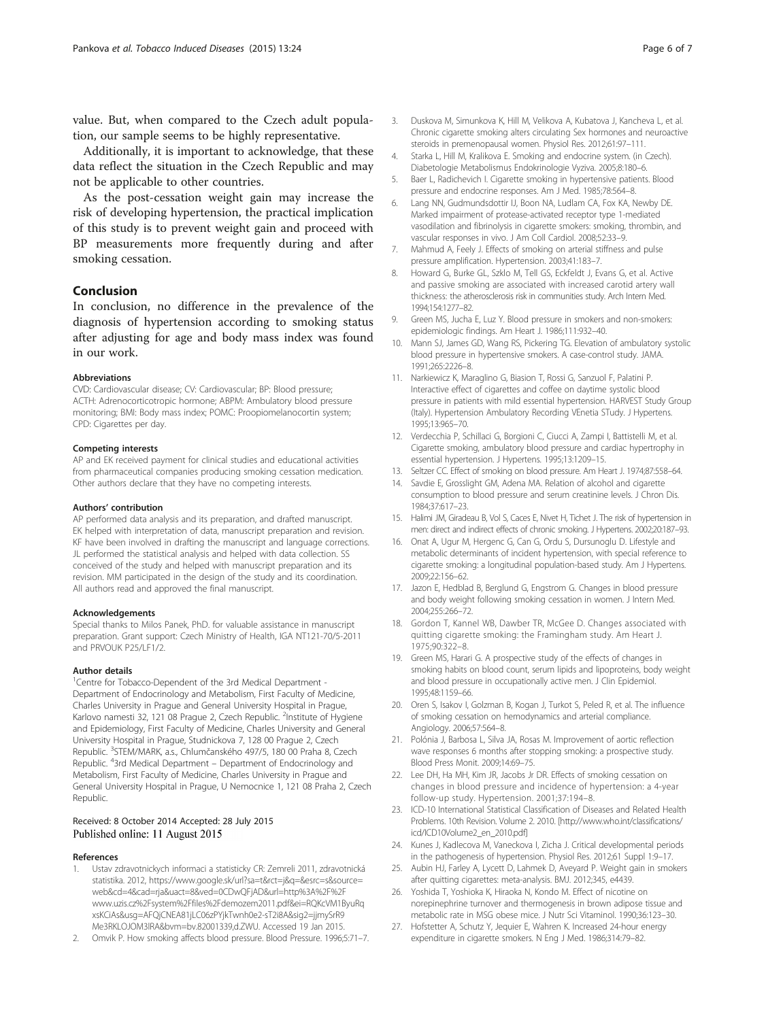<span id="page-5-0"></span>value. But, when compared to the Czech adult population, our sample seems to be highly representative.

Additionally, it is important to acknowledge, that these data reflect the situation in the Czech Republic and may not be applicable to other countries.

As the post-cessation weight gain may increase the risk of developing hypertension, the practical implication of this study is to prevent weight gain and proceed with BP measurements more frequently during and after smoking cessation.

## Conclusion

In conclusion, no difference in the prevalence of the diagnosis of hypertension according to smoking status after adjusting for age and body mass index was found in our work.

#### Abbreviations

CVD: Cardiovascular disease; CV: Cardiovascular; BP: Blood pressure; ACTH: Adrenocorticotropic hormone; ABPM: Ambulatory blood pressure monitoring; BMI: Body mass index; POMC: Proopiomelanocortin system; CPD: Cigarettes per day.

#### Competing interests

AP and EK received payment for clinical studies and educational activities from pharmaceutical companies producing smoking cessation medication. Other authors declare that they have no competing interests.

#### Authors' contribution

AP performed data analysis and its preparation, and drafted manuscript. EK helped with interpretation of data, manuscript preparation and revision. KF have been involved in drafting the manuscript and language corrections. JL performed the statistical analysis and helped with data collection. SS conceived of the study and helped with manuscript preparation and its revision. MM participated in the design of the study and its coordination. All authors read and approved the final manuscript.

#### Acknowledgements

Special thanks to Milos Panek, PhD. for valuable assistance in manuscript preparation. Grant support: Czech Ministry of Health, IGA NT121-70/5-2011 and PRVOUK P25/LF1/2

### Author details

<sup>1</sup> Centre for Tobacco-Dependent of the 3rd Medical Department -Department of Endocrinology and Metabolism, First Faculty of Medicine, Charles University in Prague and General University Hospital in Prague, Karlovo namesti 32, 121 08 Prague 2, Czech Republic. <sup>2</sup>Institute of Hygiene and Epidemiology, First Faculty of Medicine, Charles University and General University Hospital in Prague, Studnickova 7, 128 00 Prague 2, Czech Republic. <sup>3</sup>STEM/MARK, a.s., Chlumčanského 497/5, 180 00 Praha 8, Czech Republic. <sup>4</sup>3rd Medical Department – Department of Endocrinology and Metabolism, First Faculty of Medicine, Charles University in Prague and General University Hospital in Prague, U Nemocnice 1, 121 08 Praha 2, Czech Republic.

#### Received: 8 October 2014 Accepted: 28 July 2015 Published online: 11 August 2015

#### References

- 1. Ustav zdravotnickych informaci a statisticky CR: Zemreli 2011, zdravotnická statistika. 2012, [https://www.google.sk/url?sa=t&rct=j&q=&esrc=s&source=](https://www.google.sk/url?sa=t&rct=j&q=&esrc=s&source=web&cd=4&cad=rja&uact=8&ved=0CDwQFjAD&url=http%3A%252%C2%A0F%2Fwww.uzis.cz%2Fsystem%2Ffiles%2Fdemozem2011.pdf&ei=RQKcVM1ByuRqxsKCiAs&usg=AFQjCNEA81jLC06zPYjkTwnh0e2-sT2i8A&sig2=jjmySrR9Me3RKLOJOM3lRA&bvm=bv.82001339,d.ZWU) [web&cd=4&cad=rja&uact=8&ved=0CDwQFjAD&url=http%3A%2F%2F](https://www.google.sk/url?sa=t&rct=j&q=&esrc=s&source=web&cd=4&cad=rja&uact=8&ved=0CDwQFjAD&url=http%3A%252%C2%A0F%2Fwww.uzis.cz%2Fsystem%2Ffiles%2Fdemozem2011.pdf&ei=RQKcVM1ByuRqxsKCiAs&usg=AFQjCNEA81jLC06zPYjkTwnh0e2-sT2i8A&sig2=jjmySrR9Me3RKLOJOM3lRA&bvm=bv.82001339,d.ZWU) [www.uzis.cz%2Fsystem%2Ffiles%2Fdemozem2011.pdf&ei=RQKcVM1ByuRq](https://www.google.sk/url?sa=t&rct=j&q=&esrc=s&source=web&cd=4&cad=rja&uact=8&ved=0CDwQFjAD&url=http%3A%252%C2%A0F%2Fwww.uzis.cz%2Fsystem%2Ffiles%2Fdemozem2011.pdf&ei=RQKcVM1ByuRqxsKCiAs&usg=AFQjCNEA81jLC06zPYjkTwnh0e2-sT2i8A&sig2=jjmySrR9Me3RKLOJOM3lRA&bvm=bv.82001339,d.ZWU) [xsKCiAs&usg=AFQjCNEA81jLC06zPYjkTwnh0e2-sT2i8A&sig2=jjmySrR9](https://www.google.sk/url?sa=t&rct=j&q=&esrc=s&source=web&cd=4&cad=rja&uact=8&ved=0CDwQFjAD&url=http%3A%252%C2%A0F%2Fwww.uzis.cz%2Fsystem%2Ffiles%2Fdemozem2011.pdf&ei=RQKcVM1ByuRqxsKCiAs&usg=AFQjCNEA81jLC06zPYjkTwnh0e2-sT2i8A&sig2=jjmySrR9Me3RKLOJOM3lRA&bvm=bv.82001339,d.ZWU) [Me3RKLOJOM3lRA&bvm=bv.82001339,d.ZWU](https://www.google.sk/url?sa=t&rct=j&q=&esrc=s&source=web&cd=4&cad=rja&uact=8&ved=0CDwQFjAD&url=http%3A%252%C2%A0F%2Fwww.uzis.cz%2Fsystem%2Ffiles%2Fdemozem2011.pdf&ei=RQKcVM1ByuRqxsKCiAs&usg=AFQjCNEA81jLC06zPYjkTwnh0e2-sT2i8A&sig2=jjmySrR9Me3RKLOJOM3lRA&bvm=bv.82001339,d.ZWU). Accessed 19 Jan 2015.
- 2. Omvik P. How smoking affects blood pressure. Blood Pressure. 1996;5:71–7.
- 3. Duskova M, Simunkova K, Hill M, Velikova A, Kubatova J, Kancheva L, et al. Chronic cigarette smoking alters circulating Sex hormones and neuroactive steroids in premenopausal women. Physiol Res. 2012;61:97–111.
- 4. Starka L, Hill M, Kralikova E. Smoking and endocrine system. (in Czech). Diabetologie Metabolismus Endokrinologie Vyziva. 2005;8:180–6.
- 5. Baer L, Radichevich I. Cigarette smoking in hypertensive patients. Blood pressure and endocrine responses. Am J Med. 1985;78:564–8.
- 6. Lang NN, Gudmundsdottir IJ, Boon NA, Ludlam CA, Fox KA, Newby DE. Marked impairment of protease-activated receptor type 1-mediated vasodilation and fibrinolysis in cigarette smokers: smoking, thrombin, and vascular responses in vivo. J Am Coll Cardiol. 2008;52:33–9.
- 7. Mahmud A, Feely J. Effects of smoking on arterial stiffness and pulse pressure amplification. Hypertension. 2003;41:183–7.
- 8. Howard G, Burke GL, Szklo M, Tell GS, Eckfeldt J, Evans G, et al. Active and passive smoking are associated with increased carotid artery wall thickness: the atherosclerosis risk in communities study. Arch Intern Med. 1994;154:1277–82.
- 9. Green MS, Jucha E, Luz Y. Blood pressure in smokers and non-smokers: epidemiologic findings. Am Heart J. 1986;111:932–40.
- 10. Mann SJ, James GD, Wang RS, Pickering TG. Elevation of ambulatory systolic blood pressure in hypertensive smokers. A case-control study. JAMA. 1991;265:2226–8.
- 11. Narkiewicz K, Maraglino G, Biasion T, Rossi G, Sanzuol F, Palatini P. Interactive effect of cigarettes and coffee on daytime systolic blood pressure in patients with mild essential hypertension. HARVEST Study Group (Italy). Hypertension Ambulatory Recording VEnetia STudy. J Hypertens. 1995;13:965–70.
- 12. Verdecchia P, Schillaci G, Borgioni C, Ciucci A, Zampi I, Battistelli M, et al. Cigarette smoking, ambulatory blood pressure and cardiac hypertrophy in essential hypertension. J Hypertens. 1995;13:1209–15.
- 13. Seltzer CC. Effect of smoking on blood pressure. Am Heart J. 1974;87:558–64.
- 14. Savdie E, Grosslight GM, Adena MA. Relation of alcohol and cigarette consumption to blood pressure and serum creatinine levels. J Chron Dis. 1984;37:617–23.
- 15. Halimi JM, Giradeau B, Vol S, Caces E, Nivet H, Tichet J. The risk of hypertension in men: direct and indirect effects of chronic smoking. J Hypertens. 2002;20:187–93.
- 16. Onat A, Ugur M, Hergenc G, Can G, Ordu S, Dursunoglu D. Lifestyle and metabolic determinants of incident hypertension, with special reference to cigarette smoking: a longitudinal population-based study. Am J Hypertens. 2009;22:156–62.
- 17. Jazon E, Hedblad B, Berglund G, Engstrom G. Changes in blood pressure and body weight following smoking cessation in women. J Intern Med. 2004;255:266–72.
- 18. Gordon T, Kannel WB, Dawber TR, McGee D. Changes associated with quitting cigarette smoking: the Framingham study. Am Heart J. 1975;90:322–8.
- 19. Green MS, Harari G. A prospective study of the effects of changes in smoking habits on blood count, serum lipids and lipoproteins, body weight and blood pressure in occupationally active men. J Clin Epidemiol. 1995;48:1159–66.
- 20. Oren S, Isakov I, Golzman B, Kogan J, Turkot S, Peled R, et al. The influence of smoking cessation on hemodynamics and arterial compliance. Angiology. 2006;57:564–8.
- 21. Polónia J, Barbosa L, Silva JA, Rosas M. Improvement of aortic reflection wave responses 6 months after stopping smoking: a prospective study. Blood Press Monit. 2009;14:69–75.
- 22. Lee DH, Ha MH, Kim JR, Jacobs Jr DR. Effects of smoking cessation on changes in blood pressure and incidence of hypertension: a 4-year follow-up study. Hypertension. 2001;37:194–8.
- 23. ICD-10 International Statistical Classification of Diseases and Related Health Problems. 10th Revision. Volume 2. 2010. [[http://www.who.int/classifications/](http://www.who.int/classifications/icd/ICD10Volume2_en_2010.pdf) [icd/ICD10Volume2\\_en\\_2010.pdf\]](http://www.who.int/classifications/icd/ICD10Volume2_en_2010.pdf)
- 24. Kunes J, Kadlecova M, Vaneckova I, Zicha J. Critical developmental periods in the pathogenesis of hypertension. Physiol Res. 2012;61 Suppl 1:9–17.
- 25. Aubin HJ, Farley A, Lycett D, Lahmek D, Aveyard P. Weight gain in smokers after quitting cigarettes: meta-analysis. BMJ. 2012;345, e4439.
- 26. Yoshida T, Yoshioka K, Hiraoka N, Kondo M. Effect of nicotine on norepinephrine turnover and thermogenesis in brown adipose tissue and metabolic rate in MSG obese mice. J Nutr Sci Vitaminol. 1990;36:123–30.
- 27. Hofstetter A, Schutz Y, Jequier E, Wahren K. Increased 24-hour energy expenditure in cigarette smokers. N Eng J Med. 1986;314:79–82.